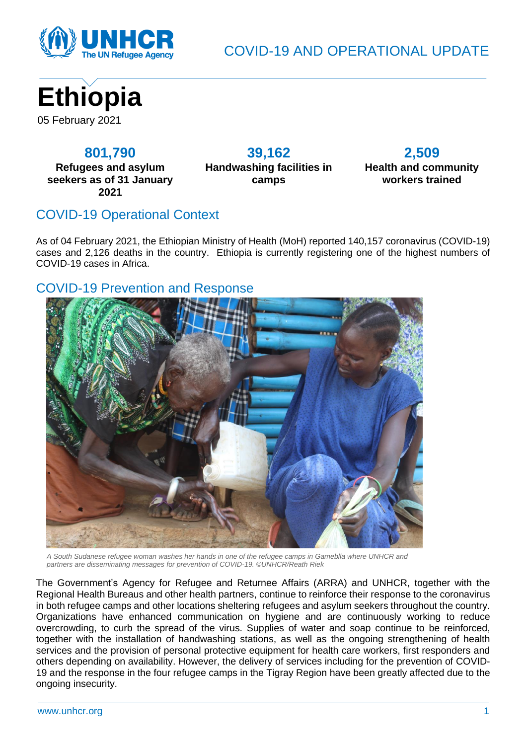

COVID-19 AND OPERATIONAL UPDATE



#### **801,790**

**Refugees and asylum seekers as of 31 January 2021**

**39,162 Handwashing facilities in camps**

# **2,509**

**Health and community workers trained**

# COVID-19 Operational Context

As of 04 February 2021, the Ethiopian Ministry of Health (MoH) reported 140,157 coronavirus (COVID-19) cases and 2,126 deaths in the country. Ethiopia is currently registering one of the highest numbers of COVID-19 cases in Africa.

#### COVID-19 Prevention and Response



*A South Sudanese refugee woman washes her hands in one of the refugee camps in Gameblla where UNHCR and partners are disseminating messages for prevention of COVID-19. ©UNHCR/Reath Riek*

The Government's Agency for Refugee and Returnee Affairs (ARRA) and UNHCR, together with the Regional Health Bureaus and other health partners, continue to reinforce their response to the coronavirus in both refugee camps and other locations sheltering refugees and asylum seekers throughout the country. Organizations have enhanced communication on hygiene and are continuously working to reduce overcrowding, to curb the spread of the virus. Supplies of water and soap continue to be reinforced, together with the installation of handwashing stations, as well as the ongoing strengthening of health services and the provision of personal protective equipment for health care workers, first responders and others depending on availability. However, the delivery of services including for the prevention of COVID-19 and the response in the four refugee camps in the Tigray Region have been greatly affected due to the ongoing insecurity.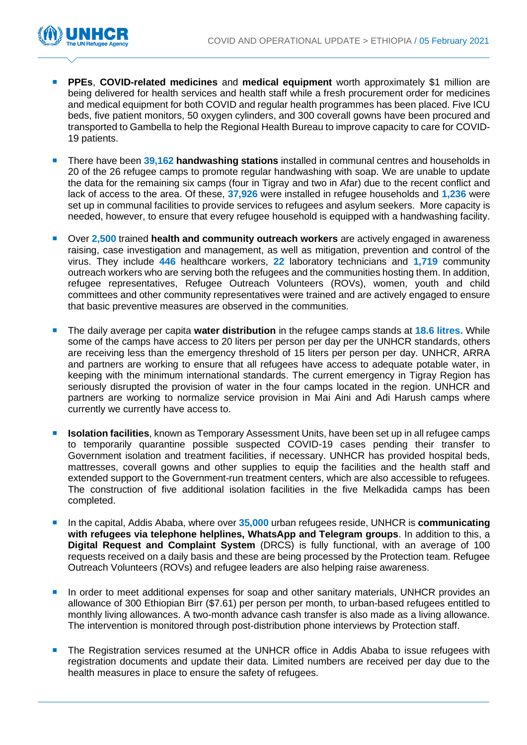

- **PPEs**, **COVID-related medicines** and **medical equipment** worth approximately \$1 million are being delivered for health services and health staff while a fresh procurement order for medicines and medical equipment for both COVID and regular health programmes has been placed. Five ICU beds, five patient monitors, 50 oxygen cylinders, and 300 coverall gowns have been procured and transported to Gambella to help the Regional Health Bureau to improve capacity to care for COVID-19 patients.
- **There have been 39,162 handwashing stations** installed in communal centres and households in 20 of the 26 refugee camps to promote regular handwashing with soap. We are unable to update the data for the remaining six camps (four in Tigray and two in Afar) due to the recent conflict and lack of access to the area. Of these, **37,926** were installed in refugee households and **1,236** were set up in communal facilities to provide services to refugees and asylum seekers. More capacity is needed, however, to ensure that every refugee household is equipped with a handwashing facility.
- Over **2,500** trained **health and community outreach workers** are actively engaged in awareness raising, case investigation and management, as well as mitigation, prevention and control of the virus. They include **446** healthcare workers, **22** laboratory technicians and **1,719** community outreach workers who are serving both the refugees and the communities hosting them. In addition, refugee representatives, Refugee Outreach Volunteers (ROVs), women, youth and child committees and other community representatives were trained and are actively engaged to ensure that basic preventive measures are observed in the communities.
- The daily average per capita **water distribution** in the refugee camps stands at **18.6 litres.** While some of the camps have access to 20 liters per person per day per the UNHCR standards, others are receiving less than the emergency threshold of 15 liters per person per day. UNHCR, ARRA and partners are working to ensure that all refugees have access to adequate potable water, in keeping with the minimum international standards. The current emergency in Tigray Region has seriously disrupted the provision of water in the four camps located in the region. UNHCR and partners are working to normalize service provision in Mai Aini and Adi Harush camps where currently we currently have access to.
- **Isolation facilities**, known as Temporary Assessment Units, have been set up in all refugee camps to temporarily quarantine possible suspected COVID-19 cases pending their transfer to Government isolation and treatment facilities, if necessary. UNHCR has provided hospital beds, mattresses, coverall gowns and other supplies to equip the facilities and the health staff and extended support to the Government-run treatment centers, which are also accessible to refugees. The construction of five additional isolation facilities in the five Melkadida camps has been completed.
- In the capital, Addis Ababa, where over **35,000** urban refugees reside, UNHCR is **communicating with refugees via telephone helplines, WhatsApp and Telegram groups**. In addition to this, a **Digital Request and Complaint System** (DRCS) is fully functional, with an average of 100 requests received on a daily basis and these are being processed by the Protection team. Refugee Outreach Volunteers (ROVs) and refugee leaders are also helping raise awareness.
- **In order to meet additional expenses for soap and other sanitary materials, UNHCR provides an** allowance of 300 Ethiopian Birr (\$7.61) per person per month, to urban-based refugees entitled to monthly living allowances. A two-month advance cash transfer is also made as a living allowance. The intervention is monitored through post-distribution phone interviews by Protection staff.
- **The Registration services resumed at the UNHCR office in Addis Ababa to issue refugees with** registration documents and update their data. Limited numbers are received per day due to the health measures in place to ensure the safety of refugees.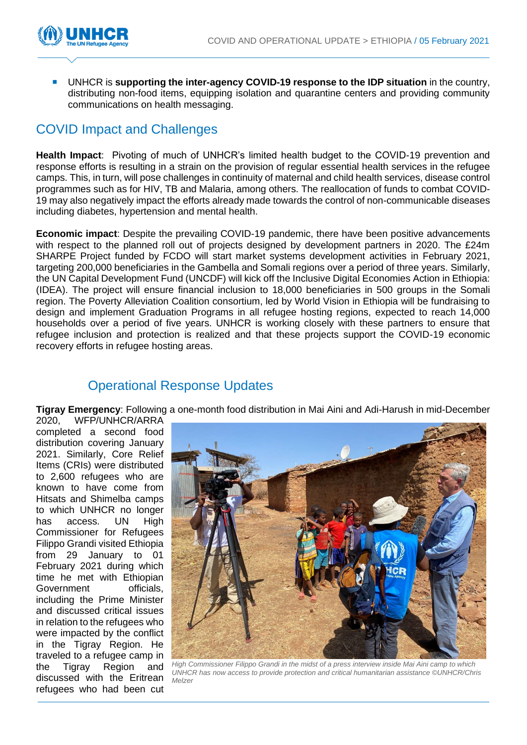

 UNHCR is **supporting the inter-agency COVID-19 response to the IDP situation** in the country, distributing non-food items, equipping isolation and quarantine centers and providing community communications on health messaging.

### COVID Impact and Challenges

**Health Impact**: Pivoting of much of UNHCR's limited health budget to the COVID-19 prevention and response efforts is resulting in a strain on the provision of regular essential health services in the refugee camps. This, in turn, will pose challenges in continuity of maternal and child health services, disease control programmes such as for HIV, TB and Malaria, among others. The reallocation of funds to combat COVID-19 may also negatively impact the efforts already made towards the control of non-communicable diseases including diabetes, hypertension and mental health.

**Economic impact**: Despite the prevailing COVID-19 pandemic, there have been positive advancements with respect to the planned roll out of projects designed by development partners in 2020. The £24m SHARPE Project funded by FCDO will start market systems development activities in February 2021, targeting 200,000 beneficiaries in the Gambella and Somali regions over a period of three years. Similarly, the UN Capital Development Fund (UNCDF) will kick off the Inclusive Digital Economies Action in Ethiopia: (IDEA). The project will ensure financial inclusion to 18,000 beneficiaries in 500 groups in the Somali region. The Poverty Alleviation Coalition consortium, led by World Vision in Ethiopia will be fundraising to design and implement Graduation Programs in all refugee hosting regions, expected to reach 14,000 households over a period of five years. UNHCR is working closely with these partners to ensure that refugee inclusion and protection is realized and that these projects support the COVID-19 economic recovery efforts in refugee hosting areas.

### Operational Response Updates

**Tigray Emergency**: Following a one-month food distribution in Mai Aini and Adi-Harush in mid-December

2020, WFP/UNHCR/ARRA completed a second food distribution covering January 2021. Similarly, Core Relief Items (CRIs) were distributed to 2,600 refugees who are known to have come from Hitsats and Shimelba camps to which UNHCR no longer has access. UN High Commissioner for Refugees Filippo Grandi visited Ethiopia from 29 January to 01 February 2021 during which time he met with Ethiopian Government officials. including the Prime Minister and discussed critical issues in relation to the refugees who were impacted by the conflict in the Tigray Region. He traveled to a refugee camp in the Tigray Region and discussed with the Eritrean refugees who had been cut



*High Commissioner Filippo Grandi in the midst of a press interview inside Mai Aini camp to which UNHCR has now access to provide protection and critical humanitarian assistance ©UNHCR/Chris Melzer*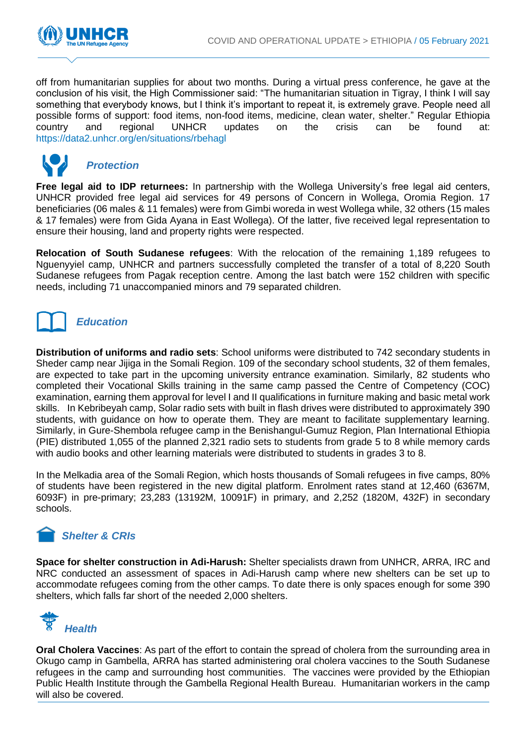

off from humanitarian supplies for about two months. During a virtual press conference, he gave at the conclusion of his visit, the High Commissioner said: "The humanitarian situation in Tigray, I think I will say something that everybody knows, but I think it's important to repeat it, is extremely grave. People need all possible forms of support: food items, non-food items, medicine, clean water, shelter." Regular Ethiopia country and regional UNHCR updates on the crisis can be found at: <https://data2.unhcr.org/en/situations/rbehagl>



#### *Protection*

**Free legal aid to IDP returnees:** In partnership with the Wollega University's free legal aid centers, UNHCR provided free legal aid services for 49 persons of Concern in Wollega, Oromia Region. 17 beneficiaries (06 males & 11 females) were from Gimbi woreda in west Wollega while, 32 others (15 males & 17 females) were from Gida Ayana in East Wollega). Of the latter, five received legal representation to ensure their housing, land and property rights were respected.

**Relocation of South Sudanese refugees**: With the relocation of the remaining 1,189 refugees to Nguenyyiel camp, UNHCR and partners successfully completed the transfer of a total of 8,220 South Sudanese refugees from Pagak reception centre. Among the last batch were 152 children with specific needs, including 71 unaccompanied minors and 79 separated children.



# *Education*

**Distribution of uniforms and radio sets**: School uniforms were distributed to 742 secondary students in Sheder camp near Jijiga in the Somali Region. 109 of the secondary school students, 32 of them females, are expected to take part in the upcoming university entrance examination. Similarly, 82 students who completed their Vocational Skills training in the same camp passed the Centre of Competency (COC) examination, earning them approval for level I and II qualifications in furniture making and basic metal work skills. In Kebribeyah camp, Solar radio sets with built in flash drives were distributed to approximately 390 students, with guidance on how to operate them. They are meant to facilitate supplementary learning. Similarly, in Gure-Shembola refugee camp in the Benishangul-Gumuz Region, Plan International Ethiopia (PIE) distributed 1,055 of the planned 2,321 radio sets to students from grade 5 to 8 while memory cards with audio books and other learning materials were distributed to students in grades 3 to 8.

In the Melkadia area of the Somali Region, which hosts thousands of Somali refugees in five camps, 80% of students have been registered in the new digital platform. Enrolment rates stand at 12,460 (6367M, 6093F) in pre-primary; 23,283 (13192M, 10091F) in primary, and 2,252 (1820M, 432F) in secondary schools.

# *Shelter & CRIs*

**Space for shelter construction in Adi-Harush:** Shelter specialists drawn from UNHCR, ARRA, IRC and NRC conducted an assessment of spaces in Adi-Harush camp where new shelters can be set up to accommodate refugees coming from the other camps. To date there is only spaces enough for some 390 shelters, which falls far short of the needed 2,000 shelters.



**Oral Cholera Vaccines**: As part of the effort to contain the spread of cholera from the surrounding area in Okugo camp in Gambella, ARRA has started administering oral cholera vaccines to the South Sudanese refugees in the camp and surrounding host communities. The vaccines were provided by the Ethiopian Public Health Institute through the Gambella Regional Health Bureau. Humanitarian workers in the camp will also be covered.